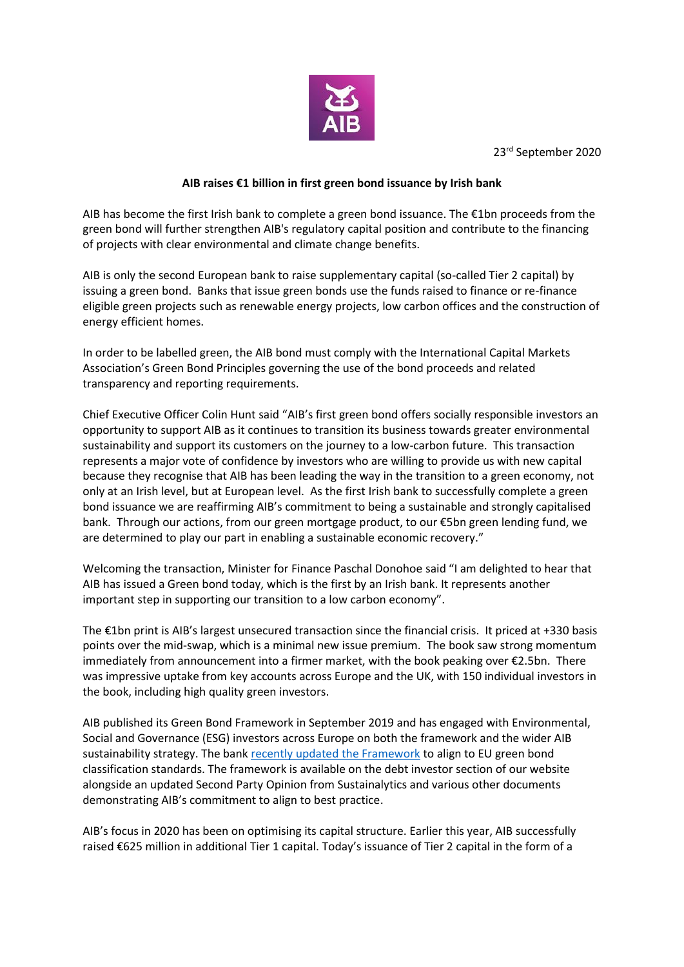

23rd September 2020

## **AIB raises €1 billion in first green bond issuance by Irish bank**

AIB has become the first Irish bank to complete a green bond issuance. The €1bn proceeds from the green bond will further strengthen AIB's regulatory capital position and contribute to the financing of projects with clear environmental and climate change benefits.

AIB is only the second European bank to raise supplementary capital (so-called Tier 2 capital) by issuing a green bond. Banks that issue green bonds use the funds raised to finance or re-finance eligible green projects such as renewable energy projects, low carbon offices and the construction of energy efficient homes.

In order to be labelled green, the AIB bond must comply with the International Capital Markets Association's Green Bond Principles governing the use of the bond proceeds and related transparency and reporting requirements.

Chief Executive Officer Colin Hunt said "AIB's first green bond offers socially responsible investors an opportunity to support AIB as it continues to transition its business towards greater environmental sustainability and support its customers on the journey to a low-carbon future. This transaction represents a major vote of confidence by investors who are willing to provide us with new capital because they recognise that AIB has been leading the way in the transition to a green economy, not only at an Irish level, but at European level. As the first Irish bank to successfully complete a green bond issuance we are reaffirming AIB's commitment to being a sustainable and strongly capitalised bank. Through our actions, from our green mortgage product, to our €5bn green lending fund, we are determined to play our part in enabling a sustainable economic recovery."

Welcoming the transaction, Minister for Finance Paschal Donohoe said "I am delighted to hear that AIB has issued a Green bond today, which is the first by an Irish bank. It represents another important step in supporting our transition to a low carbon economy".

The €1bn print is AIB's largest unsecured transaction since the financial crisis. It priced at +330 basis points over the mid-swap, which is a minimal new issue premium. The book saw strong momentum immediately from announcement into a firmer market, with the book peaking over €2.5bn. There was impressive uptake from key accounts across Europe and the UK, with 150 individual investors in the book, including high quality green investors.

AIB published its Green Bond Framework in September 2019 and has engaged with Environmental, Social and Governance (ESG) investors across Europe on both the framework and the wider AIB sustainability strategy. The ban[k recently updated](https://aib.ie/investorrelations/debt-investor/green-bonds/green-bond-framework) the Framework to align to EU green bond classification standards. The framework is available on the debt investor section of our website alongside an updated Second Party Opinion from Sustainalytics and various other documents demonstrating AIB's commitment to align to best practice.

AIB's focus in 2020 has been on optimising its capital structure. Earlier this year, AIB successfully raised €625 million in additional Tier 1 capital. Today's issuance of Tier 2 capital in the form of a